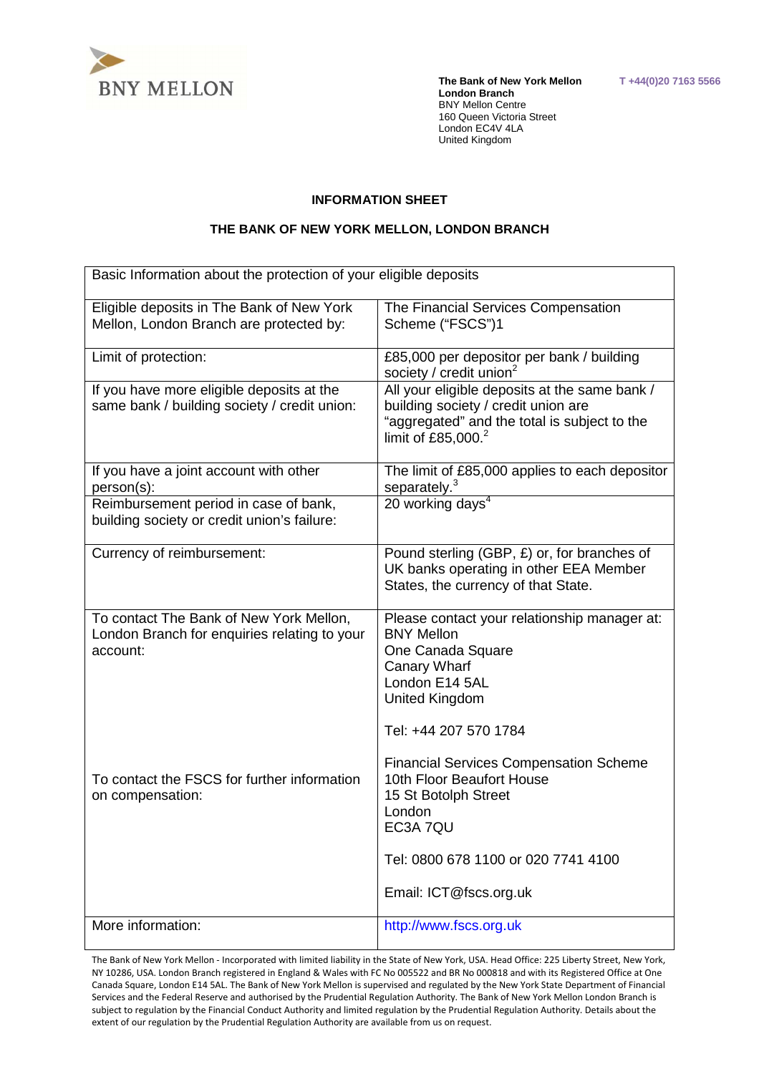

 **The Bank of New York Mellon T +44(0)20 7163 5566 London Branch**  BNY Mellon Centre 160 Queen Victoria Street London EC4V 4LA United Kingdom

#### **INFORMATION SHEET**

### **THE BANK OF NEW YORK MELLON, LONDON BRANCH**

| Basic Information about the protection of your eligible deposits                                    |                                                                                                                                                                                   |
|-----------------------------------------------------------------------------------------------------|-----------------------------------------------------------------------------------------------------------------------------------------------------------------------------------|
| Eligible deposits in The Bank of New York<br>Mellon, London Branch are protected by:                | The Financial Services Compensation<br>Scheme ("FSCS")1                                                                                                                           |
| Limit of protection:                                                                                | £85,000 per depositor per bank / building<br>society / credit union <sup>2</sup>                                                                                                  |
| If you have more eligible deposits at the<br>same bank / building society / credit union:           | All your eligible deposits at the same bank /<br>building society / credit union are<br>"aggregated" and the total is subject to the<br>limit of £85,000. $^2$                    |
| If you have a joint account with other<br>person(s):                                                | The limit of £85,000 applies to each depositor<br>separately. <sup>3</sup>                                                                                                        |
| Reimbursement period in case of bank,<br>building society or credit union's failure:                | 20 working days <sup>4</sup>                                                                                                                                                      |
| Currency of reimbursement:                                                                          | Pound sterling (GBP, £) or, for branches of<br>UK banks operating in other EEA Member<br>States, the currency of that State.                                                      |
| To contact The Bank of New York Mellon,<br>London Branch for enquiries relating to your<br>account: | Please contact your relationship manager at:<br><b>BNY Mellon</b><br>One Canada Square<br><b>Canary Wharf</b><br>London E14 5AL<br><b>United Kingdom</b><br>Tel: +44 207 570 1784 |
| To contact the FSCS for further information<br>on compensation:                                     | <b>Financial Services Compensation Scheme</b><br>10th Floor Beaufort House<br>15 St Botolph Street<br>London<br>EC3A 7QU<br>Tel: 0800 678 1100 or 020 7741 4100                   |
|                                                                                                     | Email: ICT@fscs.org.uk                                                                                                                                                            |
| More information:                                                                                   | http://www.fscs.org.uk                                                                                                                                                            |

 The Bank of New York Mellon - Incorporated with limited liability in the State of New York, USA. Head Office: 225 Liberty Street, New York, NY 10286, USA. London Branch registered in England & Wales with FC No 005522 and BR No 000818 and with its Registered Office at One Canada Square, London E14 5AL. The Bank of New York Mellon is supervised and regulated by the New York State Department of Financial Services and the Federal Reserve and authorised by the Prudential Regulation Authority. The Bank of New York Mellon London Branch is subject to regulation by the Financial Conduct Authority and limited regulation by the Prudential Regulation Authority. Details about the extent of our regulation by the Prudential Regulation Authority are available from us on request.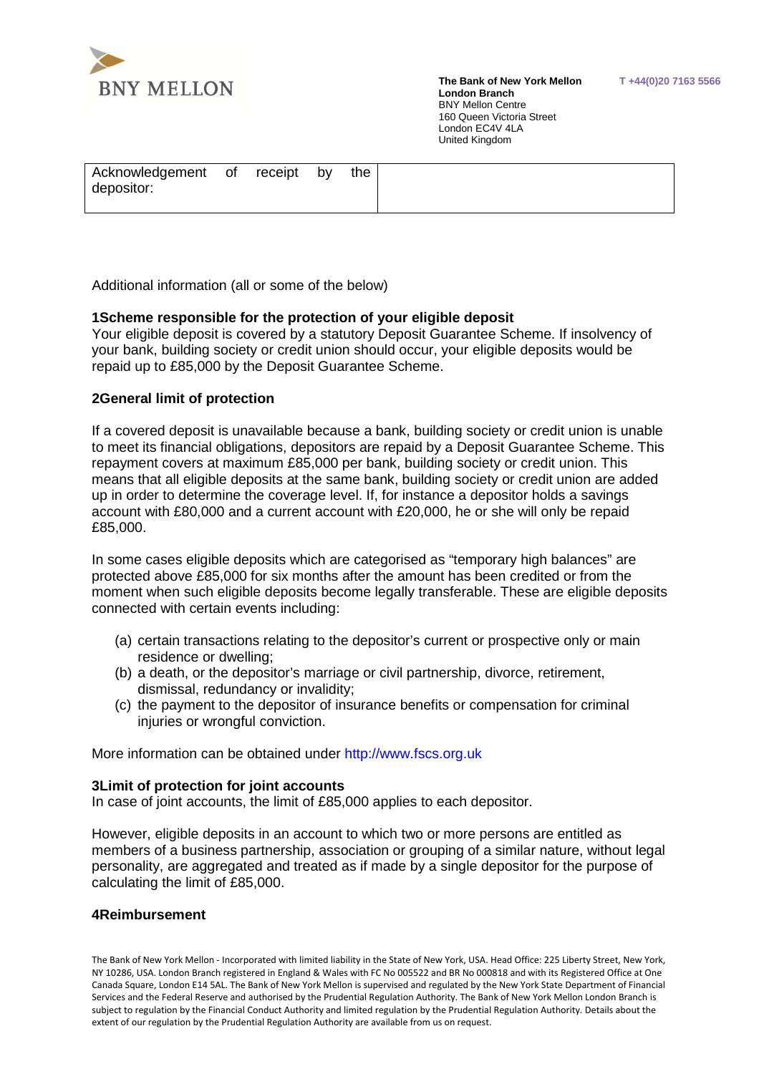

 **The Bank of New York Mellon T +44(0)20 7163 5566 London Branch**  BNY Mellon Centre 160 Queen Victoria Street London EC4V 4LA United Kingdom

Additional information (all or some of the below)

## **1Scheme responsible for the protection of your eligible deposit**

Your eligible deposit is covered by a statutory Deposit Guarantee Scheme. If insolvency of your bank, building society or credit union should occur, your eligible deposits would be repaid up to £85,000 by the Deposit Guarantee Scheme.

# **2General limit of protection**

If a covered deposit is unavailable because a bank, building society or credit union is unable to meet its financial obligations, depositors are repaid by a Deposit Guarantee Scheme. This repayment covers at maximum £85,000 per bank, building society or credit union. This means that all eligible deposits at the same bank, building society or credit union are added up in order to determine the coverage level. If, for instance a depositor holds a savings account with £80,000 and a current account with £20,000, he or she will only be repaid £85,000.

In some cases eligible deposits which are categorised as "temporary high balances" are protected above £85,000 for six months after the amount has been credited or from the moment when such eligible deposits become legally transferable. These are eligible deposits connected with certain events including:

- (a) certain transactions relating to the depositor's current or prospective only or main residence or dwelling;
- (b) a death, or the depositor's marriage or civil partnership, divorce, retirement, dismissal, redundancy or invalidity;
- (c) the payment to the depositor of insurance benefits or compensation for criminal injuries or wrongful conviction.

More information can be obtained under http://www.fscs.org.uk

#### **3Limit of protection for joint accounts**

In case of joint accounts, the limit of £85,000 applies to each depositor.

 However, eligible deposits in an account to which two or more persons are entitled as members of a business partnership, association or grouping of a similar nature, without legal personality, are aggregated and treated as if made by a single depositor for the purpose of calculating the limit of £85,000.

# **4Reimbursement**

 The Bank of New York Mellon - Incorporated with limited liability in the State of New York, USA. Head Office: 225 Liberty Street, New York, NY 10286, USA. London Branch registered in England & Wales with FC No 005522 and BR No 000818 and with its Registered Office at One Canada Square, London E14 5AL. The Bank of New York Mellon is supervised and regulated by the New York State Department of Financial Services and the Federal Reserve and authorised by the Prudential Regulation Authority. The Bank of New York Mellon London Branch is subject to regulation by the Financial Conduct Authority and limited regulation by the Prudential Regulation Authority. Details about the extent of our regulation by the Prudential Regulation Authority are available from us on request.